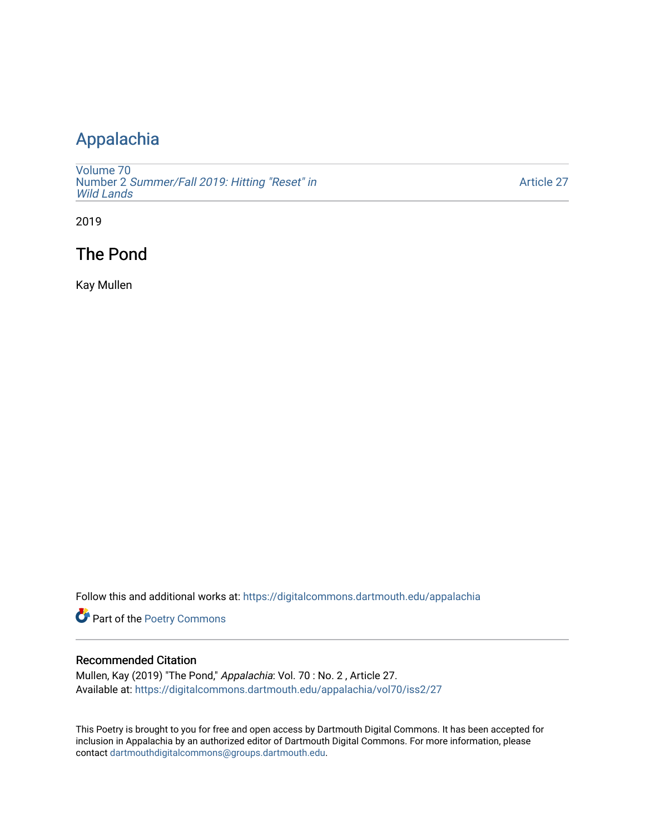## [Appalachia](https://digitalcommons.dartmouth.edu/appalachia)

[Volume 70](https://digitalcommons.dartmouth.edu/appalachia/vol70) Number 2 [Summer/Fall 2019: Hitting "Reset" in](https://digitalcommons.dartmouth.edu/appalachia/vol70/iss2) [Wild Lands](https://digitalcommons.dartmouth.edu/appalachia/vol70/iss2) 

[Article 27](https://digitalcommons.dartmouth.edu/appalachia/vol70/iss2/27) 

2019

## The Pond

Kay Mullen

Follow this and additional works at: [https://digitalcommons.dartmouth.edu/appalachia](https://digitalcommons.dartmouth.edu/appalachia?utm_source=digitalcommons.dartmouth.edu%2Fappalachia%2Fvol70%2Fiss2%2F27&utm_medium=PDF&utm_campaign=PDFCoverPages)

Part of the [Poetry Commons](http://network.bepress.com/hgg/discipline/1153?utm_source=digitalcommons.dartmouth.edu%2Fappalachia%2Fvol70%2Fiss2%2F27&utm_medium=PDF&utm_campaign=PDFCoverPages) 

## Recommended Citation

Mullen, Kay (2019) "The Pond," Appalachia: Vol. 70 : No. 2 , Article 27. Available at: [https://digitalcommons.dartmouth.edu/appalachia/vol70/iss2/27](https://digitalcommons.dartmouth.edu/appalachia/vol70/iss2/27?utm_source=digitalcommons.dartmouth.edu%2Fappalachia%2Fvol70%2Fiss2%2F27&utm_medium=PDF&utm_campaign=PDFCoverPages) 

This Poetry is brought to you for free and open access by Dartmouth Digital Commons. It has been accepted for inclusion in Appalachia by an authorized editor of Dartmouth Digital Commons. For more information, please contact [dartmouthdigitalcommons@groups.dartmouth.edu.](mailto:dartmouthdigitalcommons@groups.dartmouth.edu)